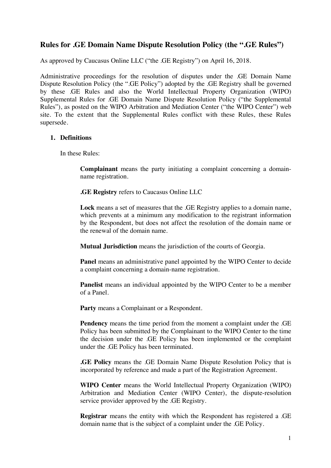# **Rules for .GE Domain Name Dispute Resolution Policy (the ".GE Rules")**

As approved by Caucasus Online LLC ("the .GE Registry") on April 16, 2018.

Administrative proceedings for the resolution of disputes under the .GE Domain Name Dispute Resolution Policy (the ".GE Policy") adopted by the .GE Registry shall be governed by these .GE Rules and also the World Intellectual Property Organization (WIPO) Supplemental Rules for .GE Domain Name Dispute Resolution Policy ("the Supplemental Rules"), as posted on the WIPO Arbitration and Mediation Center ("the WIPO Center") web site. To the extent that the Supplemental Rules conflict with these Rules, these Rules supersede.

# **1. Definitions**

In these Rules:

**Complainant** means the party initiating a complaint concerning a domainname registration.

**.GE Registry** refers to Caucasus Online LLC

**Lock** means a set of measures that the .GE Registry applies to a domain name, which prevents at a minimum any modification to the registrant information by the Respondent, but does not affect the resolution of the domain name or the renewal of the domain name.

**Mutual Jurisdiction** means the jurisdiction of the courts of Georgia.

**Panel** means an administrative panel appointed by the WIPO Center to decide a complaint concerning a domain-name registration.

**Panelist** means an individual appointed by the WIPO Center to be a member of a Panel.

**Party** means a Complainant or a Respondent.

**Pendency** means the time period from the moment a complaint under the .GE Policy has been submitted by the Complainant to the WIPO Center to the time the decision under the .GE Policy has been implemented or the complaint under the .GE Policy has been terminated.

**.GE Policy** means the .GE Domain Name Dispute Resolution Policy that is incorporated by reference and made a part of the Registration Agreement.

**WIPO Center** means the World Intellectual Property Organization (WIPO) Arbitration and Mediation Center (WIPO Center), the dispute-resolution service provider approved by the .GE Registry.

**Registrar** means the entity with which the Respondent has registered a .GE domain name that is the subject of a complaint under the .GE Policy.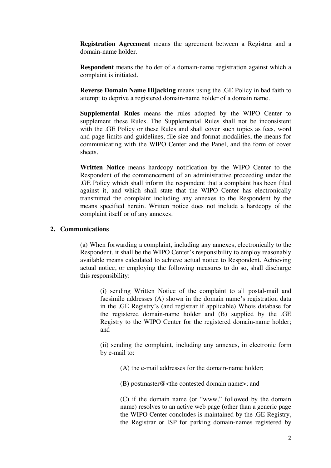**Registration Agreement** means the agreement between a Registrar and a domain-name holder.

**Respondent** means the holder of a domain-name registration against which a complaint is initiated.

**Reverse Domain Name Hijacking** means using the .GE Policy in bad faith to attempt to deprive a registered domain-name holder of a domain name.

**Supplemental Rules** means the rules adopted by the WIPO Center to supplement these Rules. The Supplemental Rules shall not be inconsistent with the .GE Policy or these Rules and shall cover such topics as fees, word and page limits and guidelines, file size and format modalities, the means for communicating with the WIPO Center and the Panel, and the form of cover sheets.

**Written Notice** means hardcopy notification by the WIPO Center to the Respondent of the commencement of an administrative proceeding under the .GE Policy which shall inform the respondent that a complaint has been filed against it, and which shall state that the WIPO Center has electronically transmitted the complaint including any annexes to the Respondent by the means specified herein. Written notice does not include a hardcopy of the complaint itself or of any annexes.

### **2. Communications**

(a) When forwarding a complaint, including any annexes, electronically to the Respondent, it shall be the WIPO Center's responsibility to employ reasonably available means calculated to achieve actual notice to Respondent. Achieving actual notice, or employing the following measures to do so, shall discharge this responsibility:

(i) sending Written Notice of the complaint to all postal-mail and facsimile addresses (A) shown in the domain name's registration data in the .GE Registry's (and registrar if applicable) Whois database for the registered domain-name holder and (B) supplied by the .GE Registry to the WIPO Center for the registered domain-name holder; and

(ii) sending the complaint, including any annexes, in electronic form by e-mail to:

(A) the e-mail addresses for the domain-name holder;

(B) postmaster@<the contested domain name>; and

(C) if the domain name (or "www." followed by the domain name) resolves to an active web page (other than a generic page the WIPO Center concludes is maintained by the .GE Registry, the Registrar or ISP for parking domain-names registered by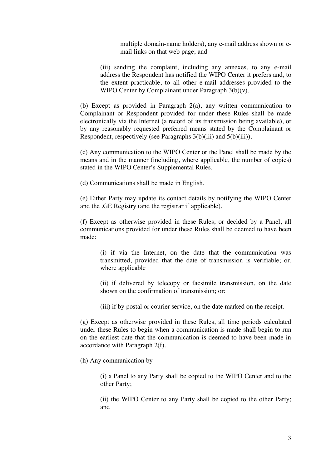multiple domain-name holders), any e-mail address shown or email links on that web page; and

(iii) sending the complaint, including any annexes, to any e-mail address the Respondent has notified the WIPO Center it prefers and, to the extent practicable, to all other e-mail addresses provided to the WIPO Center by Complainant under Paragraph 3(b)(v).

(b) Except as provided in Paragraph 2(a), any written communication to Complainant or Respondent provided for under these Rules shall be made electronically via the Internet (a record of its transmission being available), or by any reasonably requested preferred means stated by the Complainant or Respondent, respectively (see Paragraphs 3(b)(iii) and 5(b)(iii)).

(c) Any communication to the WIPO Center or the Panel shall be made by the means and in the manner (including, where applicable, the number of copies) stated in the WIPO Center's Supplemental Rules.

(d) Communications shall be made in English.

(e) Either Party may update its contact details by notifying the WIPO Center and the .GE Registry (and the registrar if applicable).

(f) Except as otherwise provided in these Rules, or decided by a Panel, all communications provided for under these Rules shall be deemed to have been made:

(i) if via the Internet, on the date that the communication was transmitted, provided that the date of transmission is verifiable; or, where applicable

(ii) if delivered by telecopy or facsimile transmission, on the date shown on the confirmation of transmission; or:

(iii) if by postal or courier service, on the date marked on the receipt.

(g) Except as otherwise provided in these Rules, all time periods calculated under these Rules to begin when a communication is made shall begin to run on the earliest date that the communication is deemed to have been made in accordance with Paragraph 2(f).

(h) Any communication by

(i) a Panel to any Party shall be copied to the WIPO Center and to the other Party;

(ii) the WIPO Center to any Party shall be copied to the other Party; and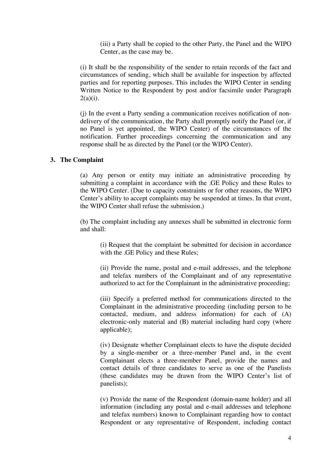(iii) a Party shall be copied to the other Party, the Panel and the WIPO Center, as the case may be.

(i) It shall be the responsibility of the sender to retain records of the fact and circumstances of sending, which shall be available for inspection by affected parties and for reporting purposes. This includes the WIPO Center in sending Written Notice to the Respondent by post and/or facsimile under Paragraph  $2(a)(i)$ .

(j) In the event a Party sending a communication receives notification of nondelivery of the communication, the Party shall promptly notify the Panel (or, if no Panel is yet appointed, the WIPO Center) of the circumstances of the notification. Further proceedings concerning the communication and any response shall be as directed by the Panel (or the WIPO Center).

#### **3. The Complaint**

(a) Any person or entity may initiate an administrative proceeding by submitting a complaint in accordance with the .GE Policy and these Rules to the WIPO Center. (Due to capacity constraints or for other reasons, the WIPO Center's ability to accept complaints may be suspended at times. In that event, the WIPO Center shall refuse the submission.)

(b) The complaint including any annexes shall be submitted in electronic form and shall:

(i) Request that the complaint be submitted for decision in accordance with the .GE Policy and these Rules;

(ii) Provide the name, postal and e-mail addresses, and the telephone and telefax numbers of the Complainant and of any representative authorized to act for the Complainant in the administrative proceeding;

(iii) Specify a preferred method for communications directed to the Complainant in the administrative proceeding (including person to be contacted, medium, and address information) for each of (A) electronic-only material and (B) material including hard copy (where applicable);

(iv) Designate whether Complainant elects to have the dispute decided by a single-member or a three-member Panel and, in the event Complainant elects a three-member Panel, provide the names and contact details of three candidates to serve as one of the Panelists (these candidates may be drawn from the WIPO Center's list of panelists);

(v) Provide the name of the Respondent (domain-name holder) and all information (including any postal and e-mail addresses and telephone and telefax numbers) known to Complainant regarding how to contact Respondent or any representative of Respondent, including contact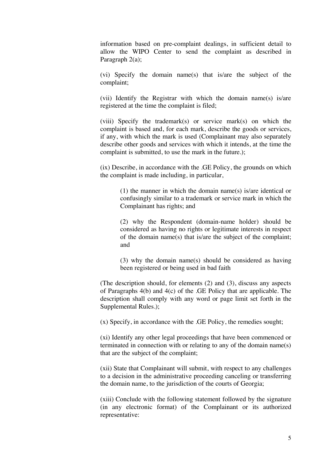information based on pre-complaint dealings, in sufficient detail to allow the WIPO Center to send the complaint as described in Paragraph 2(a);

(vi) Specify the domain name(s) that is/are the subject of the complaint;

(vii) Identify the Registrar with which the domain name(s) is/are registered at the time the complaint is filed;

(viii) Specify the trademark(s) or service mark(s) on which the complaint is based and, for each mark, describe the goods or services, if any, with which the mark is used (Complainant may also separately describe other goods and services with which it intends, at the time the complaint is submitted, to use the mark in the future.);

(ix) Describe, in accordance with the .GE Policy, the grounds on which the complaint is made including, in particular,

> (1) the manner in which the domain name(s) is/are identical or confusingly similar to a trademark or service mark in which the Complainant has rights; and

> (2) why the Respondent (domain-name holder) should be considered as having no rights or legitimate interests in respect of the domain name(s) that is/are the subject of the complaint; and

> (3) why the domain name(s) should be considered as having been registered or being used in bad faith

(The description should, for elements (2) and (3), discuss any aspects of Paragraphs 4(b) and 4(c) of the .GE Policy that are applicable. The description shall comply with any word or page limit set forth in the Supplemental Rules.);

(x) Specify, in accordance with the .GE Policy, the remedies sought;

(xi) Identify any other legal proceedings that have been commenced or terminated in connection with or relating to any of the domain name(s) that are the subject of the complaint;

(xii) State that Complainant will submit, with respect to any challenges to a decision in the administrative proceeding canceling or transferring the domain name, to the jurisdiction of the courts of Georgia;

(xiii) Conclude with the following statement followed by the signature (in any electronic format) of the Complainant or its authorized representative: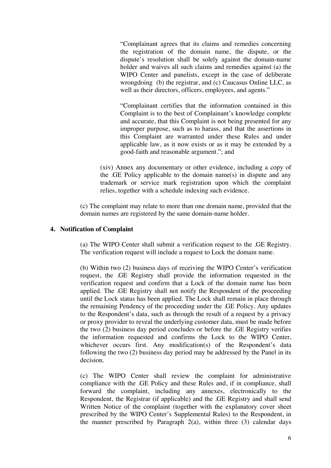"Complainant agrees that its claims and remedies concerning the registration of the domain name, the dispute, or the dispute's resolution shall be solely against the domain-name holder and waives all such claims and remedies against (a) the WIPO Center and panelists, except in the case of deliberate wrongdoing (b) the registrar, and (c) Caucasus Online LLC, as well as their directors, officers, employees, and agents."

"Complainant certifies that the information contained in this Complaint is to the best of Complainant's knowledge complete and accurate, that this Complaint is not being presented for any improper purpose, such as to harass, and that the assertions in this Complaint are warranted under these Rules and under applicable law, as it now exists or as it may be extended by a good-faith and reasonable argument."; and

(xiv) Annex any documentary or other evidence, including a copy of the .GE Policy applicable to the domain name(s) in dispute and any trademark or service mark registration upon which the complaint relies, together with a schedule indexing such evidence.

(c) The complaint may relate to more than one domain name, provided that the domain names are registered by the same domain-name holder.

### **4. Notification of Complaint**

(a) The WIPO Center shall submit a verification request to the .GE Registry. The verification request will include a request to Lock the domain name.

(b) Within two (2) business days of receiving the WIPO Center's verification request, the .GE Registry shall provide the information requested in the verification request and confirm that a Lock of the domain name has been applied. The .GE Registry shall not notify the Respondent of the proceeding until the Lock status has been applied. The Lock shall remain in place through the remaining Pendency of the proceeding under the .GE Policy. Any updates to the Respondent's data, such as through the result of a request by a privacy or proxy provider to reveal the underlying customer data, must be made before the two (2) business day period concludes or before the .GE Registry verifies the information requested and confirms the Lock to the WIPO Center, whichever occurs first. Any modification(s) of the Respondent's data following the two (2) business day period may be addressed by the Panel in its decision.

(c) The WIPO Center shall review the complaint for administrative compliance with the .GE Policy and these Rules and, if in compliance, shall forward the complaint, including any annexes, electronically to the Respondent, the Registrar (if applicable) and the .GE Registry and shall send Written Notice of the complaint (together with the explanatory cover sheet prescribed by the WIPO Center's Supplemental Rules) to the Respondent, in the manner prescribed by Paragraph  $2(a)$ , within three  $(3)$  calendar days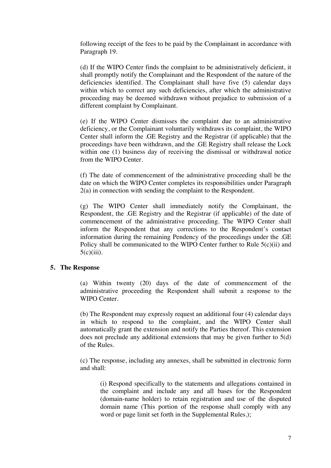following receipt of the fees to be paid by the Complainant in accordance with Paragraph 19.

(d) If the WIPO Center finds the complaint to be administratively deficient, it shall promptly notify the Complainant and the Respondent of the nature of the deficiencies identified. The Complainant shall have five (5) calendar days within which to correct any such deficiencies, after which the administrative proceeding may be deemed withdrawn without prejudice to submission of a different complaint by Complainant.

(e) If the WIPO Center dismisses the complaint due to an administrative deficiency, or the Complainant voluntarily withdraws its complaint, the WIPO Center shall inform the .GE Registry and the Registrar (if applicable) that the proceedings have been withdrawn, and the .GE Registry shall release the Lock within one (1) business day of receiving the dismissal or withdrawal notice from the WIPO Center.

(f) The date of commencement of the administrative proceeding shall be the date on which the WIPO Center completes its responsibilities under Paragraph 2(a) in connection with sending the complaint to the Respondent.

(g) The WIPO Center shall immediately notify the Complainant, the Respondent, the .GE Registry and the Registrar (if applicable) of the date of commencement of the administrative proceeding. The WIPO Center shall inform the Respondent that any corrections to the Respondent's contact information during the remaining Pendency of the proceedings under the .GE Policy shall be communicated to the WIPO Center further to Rule 5(c)(ii) and  $5(c)(iii)$ .

#### **5. The Response**

(a) Within twenty (20) days of the date of commencement of the administrative proceeding the Respondent shall submit a response to the WIPO Center.

(b) The Respondent may expressly request an additional four (4) calendar days in which to respond to the complaint, and the WIPO Center shall automatically grant the extension and notify the Parties thereof. This extension does not preclude any additional extensions that may be given further to 5(d) of the Rules.

(c) The response, including any annexes, shall be submitted in electronic form and shall:

(i) Respond specifically to the statements and allegations contained in the complaint and include any and all bases for the Respondent (domain-name holder) to retain registration and use of the disputed domain name (This portion of the response shall comply with any word or page limit set forth in the Supplemental Rules.);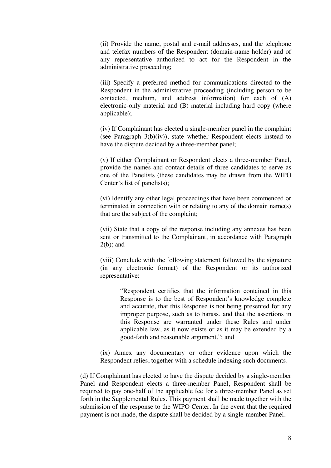(ii) Provide the name, postal and e-mail addresses, and the telephone and telefax numbers of the Respondent (domain-name holder) and of any representative authorized to act for the Respondent in the administrative proceeding;

(iii) Specify a preferred method for communications directed to the Respondent in the administrative proceeding (including person to be contacted, medium, and address information) for each of (A) electronic-only material and (B) material including hard copy (where applicable);

(iv) If Complainant has elected a single-member panel in the complaint (see Paragraph  $3(b)(iv)$ ), state whether Respondent elects instead to have the dispute decided by a three-member panel;

(v) If either Complainant or Respondent elects a three-member Panel, provide the names and contact details of three candidates to serve as one of the Panelists (these candidates may be drawn from the WIPO Center's list of panelists);

(vi) Identify any other legal proceedings that have been commenced or terminated in connection with or relating to any of the domain name(s) that are the subject of the complaint;

(vii) State that a copy of the response including any annexes has been sent or transmitted to the Complainant, in accordance with Paragraph  $2(b)$ ; and

(viii) Conclude with the following statement followed by the signature (in any electronic format) of the Respondent or its authorized representative:

> "Respondent certifies that the information contained in this Response is to the best of Respondent's knowledge complete and accurate, that this Response is not being presented for any improper purpose, such as to harass, and that the assertions in this Response are warranted under these Rules and under applicable law, as it now exists or as it may be extended by a good-faith and reasonable argument."; and

(ix) Annex any documentary or other evidence upon which the Respondent relies, together with a schedule indexing such documents.

(d) If Complainant has elected to have the dispute decided by a single-member Panel and Respondent elects a three-member Panel, Respondent shall be required to pay one-half of the applicable fee for a three-member Panel as set forth in the Supplemental Rules. This payment shall be made together with the submission of the response to the WIPO Center. In the event that the required payment is not made, the dispute shall be decided by a single-member Panel.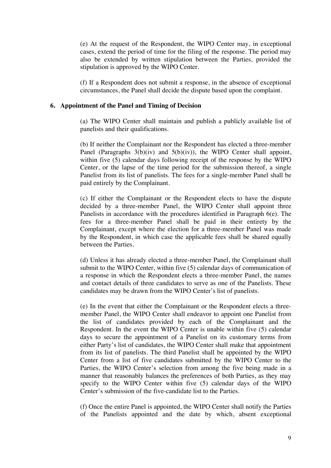(e) At the request of the Respondent, the WIPO Center may, in exceptional cases, extend the period of time for the filing of the response. The period may also be extended by written stipulation between the Parties, provided the stipulation is approved by the WIPO Center.

(f) If a Respondent does not submit a response, in the absence of exceptional circumstances, the Panel shall decide the dispute based upon the complaint.

#### **6. Appointment of the Panel and Timing of Decision**

(a) The WIPO Center shall maintain and publish a publicly available list of panelists and their qualifications.

(b) If neither the Complainant nor the Respondent has elected a three-member Panel (Paragraphs  $3(b)(iv)$  and  $5(b)(iv)$ ), the WIPO Center shall appoint, within five (5) calendar days following receipt of the response by the WIPO Center, or the lapse of the time period for the submission thereof, a single Panelist from its list of panelists. The fees for a single-member Panel shall be paid entirely by the Complainant.

(c) If either the Complainant or the Respondent elects to have the dispute decided by a three-member Panel, the WIPO Center shall appoint three Panelists in accordance with the procedures identified in Paragraph 6(e). The fees for a three-member Panel shall be paid in their entirety by the Complainant, except where the election for a three-member Panel was made by the Respondent, in which case the applicable fees shall be shared equally between the Parties.

(d) Unless it has already elected a three-member Panel, the Complainant shall submit to the WIPO Center, within five (5) calendar days of communication of a response in which the Respondent elects a three-member Panel, the names and contact details of three candidates to serve as one of the Panelists. These candidates may be drawn from the WIPO Center's list of panelists.

(e) In the event that either the Complainant or the Respondent elects a threemember Panel, the WIPO Center shall endeavor to appoint one Panelist from the list of candidates provided by each of the Complainant and the Respondent. In the event the WIPO Center is unable within five (5) calendar days to secure the appointment of a Panelist on its customary terms from either Party's list of candidates, the WIPO Center shall make that appointment from its list of panelists. The third Panelist shall be appointed by the WIPO Center from a list of five candidates submitted by the WIPO Center to the Parties, the WIPO Center's selection from among the five being made in a manner that reasonably balances the preferences of both Parties, as they may specify to the WIPO Center within five (5) calendar days of the WIPO Center's submission of the five-candidate list to the Parties.

(f) Once the entire Panel is appointed, the WIPO Center shall notify the Parties of the Panelists appointed and the date by which, absent exceptional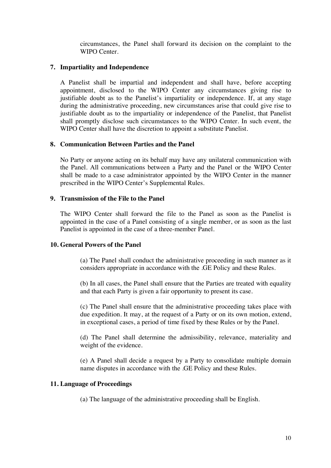circumstances, the Panel shall forward its decision on the complaint to the WIPO Center.

# **7. Impartiality and Independence**

A Panelist shall be impartial and independent and shall have, before accepting appointment, disclosed to the WIPO Center any circumstances giving rise to justifiable doubt as to the Panelist's impartiality or independence. If, at any stage during the administrative proceeding, new circumstances arise that could give rise to justifiable doubt as to the impartiality or independence of the Panelist, that Panelist shall promptly disclose such circumstances to the WIPO Center. In such event, the WIPO Center shall have the discretion to appoint a substitute Panelist.

### **8. Communication Between Parties and the Panel**

No Party or anyone acting on its behalf may have any unilateral communication with the Panel. All communications between a Party and the Panel or the WIPO Center shall be made to a case administrator appointed by the WIPO Center in the manner prescribed in the WIPO Center's Supplemental Rules.

# **9. Transmission of the File to the Panel**

The WIPO Center shall forward the file to the Panel as soon as the Panelist is appointed in the case of a Panel consisting of a single member, or as soon as the last Panelist is appointed in the case of a three-member Panel.

# **10. General Powers of the Panel**

(a) The Panel shall conduct the administrative proceeding in such manner as it considers appropriate in accordance with the .GE Policy and these Rules.

(b) In all cases, the Panel shall ensure that the Parties are treated with equality and that each Party is given a fair opportunity to present its case.

(c) The Panel shall ensure that the administrative proceeding takes place with due expedition. It may, at the request of a Party or on its own motion, extend, in exceptional cases, a period of time fixed by these Rules or by the Panel.

(d) The Panel shall determine the admissibility, relevance, materiality and weight of the evidence.

(e) A Panel shall decide a request by a Party to consolidate multiple domain name disputes in accordance with the .GE Policy and these Rules.

#### **11. Language of Proceedings**

(a) The language of the administrative proceeding shall be English.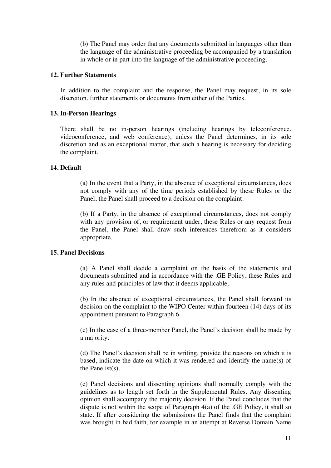(b) The Panel may order that any documents submitted in languages other than the language of the administrative proceeding be accompanied by a translation in whole or in part into the language of the administrative proceeding.

#### **12. Further Statements**

In addition to the complaint and the response, the Panel may request, in its sole discretion, further statements or documents from either of the Parties.

### **13. In-Person Hearings**

There shall be no in-person hearings (including hearings by teleconference, videoconference, and web conference), unless the Panel determines, in its sole discretion and as an exceptional matter, that such a hearing is necessary for deciding the complaint.

### **14. Default**

(a) In the event that a Party, in the absence of exceptional circumstances, does not comply with any of the time periods established by these Rules or the Panel, the Panel shall proceed to a decision on the complaint.

(b) If a Party, in the absence of exceptional circumstances, does not comply with any provision of, or requirement under, these Rules or any request from the Panel, the Panel shall draw such inferences therefrom as it considers appropriate.

# **15. Panel Decisions**

(a) A Panel shall decide a complaint on the basis of the statements and documents submitted and in accordance with the .GE Policy, these Rules and any rules and principles of law that it deems applicable.

(b) In the absence of exceptional circumstances, the Panel shall forward its decision on the complaint to the WIPO Center within fourteen (14) days of its appointment pursuant to Paragraph 6.

(c) In the case of a three-member Panel, the Panel's decision shall be made by a majority.

(d) The Panel's decision shall be in writing, provide the reasons on which it is based, indicate the date on which it was rendered and identify the name(s) of the Panelist(s).

(e) Panel decisions and dissenting opinions shall normally comply with the guidelines as to length set forth in the Supplemental Rules. Any dissenting opinion shall accompany the majority decision. If the Panel concludes that the dispute is not within the scope of Paragraph 4(a) of the .GE Policy, it shall so state. If after considering the submissions the Panel finds that the complaint was brought in bad faith, for example in an attempt at Reverse Domain Name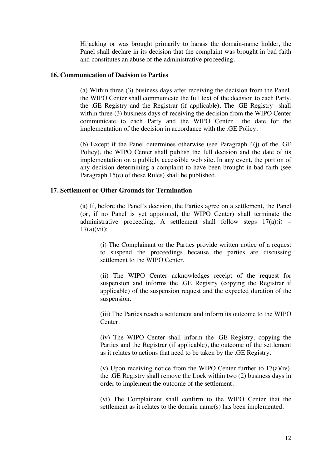Hijacking or was brought primarily to harass the domain-name holder, the Panel shall declare in its decision that the complaint was brought in bad faith and constitutes an abuse of the administrative proceeding.

#### **16. Communication of Decision to Parties**

(a) Within three (3) business days after receiving the decision from the Panel, the WIPO Center shall communicate the full text of the decision to each Party, the .GE Registry and the Registrar (if applicable). The .GE Registry shall within three (3) business days of receiving the decision from the WIPO Center communicate to each Party and the WIPO Center the date for the implementation of the decision in accordance with the .GE Policy.

(b) Except if the Panel determines otherwise (see Paragraph 4(j) of the .GE Policy), the WIPO Center shall publish the full decision and the date of its implementation on a publicly accessible web site. In any event, the portion of any decision determining a complaint to have been brought in bad faith (see Paragraph 15(e) of these Rules) shall be published.

### **17. Settlement or Other Grounds for Termination**

(a) If, before the Panel's decision, the Parties agree on a settlement, the Panel (or, if no Panel is yet appointed, the WIPO Center) shall terminate the administrative proceeding. A settlement shall follow steps  $17(a)(i)$  –  $17(a)(vii)$ :

(i) The Complainant or the Parties provide written notice of a request to suspend the proceedings because the parties are discussing settlement to the WIPO Center.

(ii) The WIPO Center acknowledges receipt of the request for suspension and informs the .GE Registry (copying the Registrar if applicable) of the suspension request and the expected duration of the suspension.

(iii) The Parties reach a settlement and inform its outcome to the WIPO Center.

(iv) The WIPO Center shall inform the .GE Registry, copying the Parties and the Registrar (if applicable), the outcome of the settlement as it relates to actions that need to be taken by the .GE Registry.

(v) Upon receiving notice from the WIPO Center further to  $17(a)(iv)$ , the .GE Registry shall remove the Lock within two (2) business days in order to implement the outcome of the settlement.

(vi) The Complainant shall confirm to the WIPO Center that the settlement as it relates to the domain name(s) has been implemented.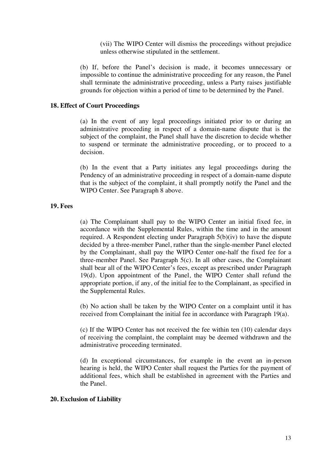(vii) The WIPO Center will dismiss the proceedings without prejudice unless otherwise stipulated in the settlement.

(b) If, before the Panel's decision is made, it becomes unnecessary or impossible to continue the administrative proceeding for any reason, the Panel shall terminate the administrative proceeding, unless a Party raises justifiable grounds for objection within a period of time to be determined by the Panel.

#### **18. Effect of Court Proceedings**

(a) In the event of any legal proceedings initiated prior to or during an administrative proceeding in respect of a domain-name dispute that is the subject of the complaint, the Panel shall have the discretion to decide whether to suspend or terminate the administrative proceeding, or to proceed to a decision.

(b) In the event that a Party initiates any legal proceedings during the Pendency of an administrative proceeding in respect of a domain-name dispute that is the subject of the complaint, it shall promptly notify the Panel and the WIPO Center. See Paragraph 8 above.

#### **19. Fees**

(a) The Complainant shall pay to the WIPO Center an initial fixed fee, in accordance with the Supplemental Rules, within the time and in the amount required. A Respondent electing under Paragraph 5(b)(iv) to have the dispute decided by a three-member Panel, rather than the single-member Panel elected by the Complainant, shall pay the WIPO Center one-half the fixed fee for a three-member Panel. See Paragraph 5(c). In all other cases, the Complainant shall bear all of the WIPO Center's fees, except as prescribed under Paragraph 19(d). Upon appointment of the Panel, the WIPO Center shall refund the appropriate portion, if any, of the initial fee to the Complainant, as specified in the Supplemental Rules.

(b) No action shall be taken by the WIPO Center on a complaint until it has received from Complainant the initial fee in accordance with Paragraph 19(a).

(c) If the WIPO Center has not received the fee within ten (10) calendar days of receiving the complaint, the complaint may be deemed withdrawn and the administrative proceeding terminated.

(d) In exceptional circumstances, for example in the event an in-person hearing is held, the WIPO Center shall request the Parties for the payment of additional fees, which shall be established in agreement with the Parties and the Panel.

#### **20. Exclusion of Liability**